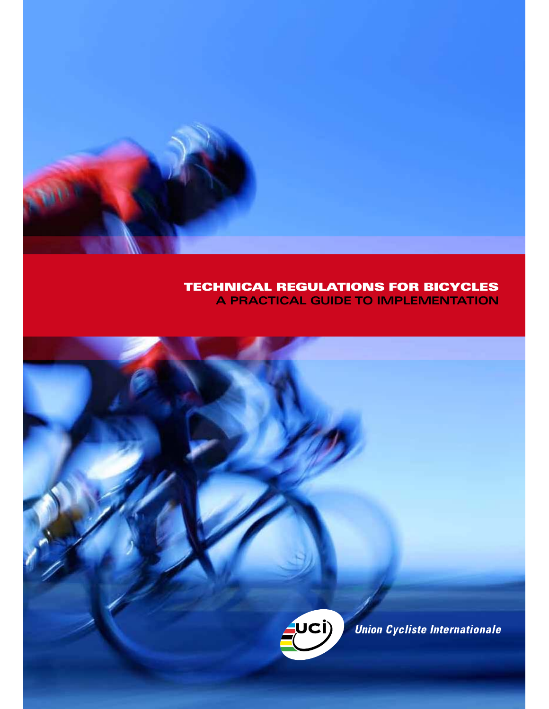

# **TECHNICAL REGULATIONS FOR BICYCLES A PRACTICAL GUIDE TO IMPLEMENTATION**



Union Cycliste Internationale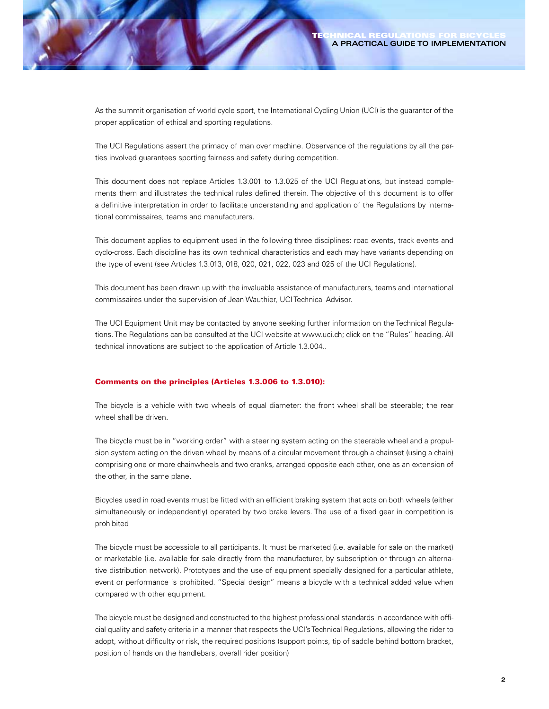As the summit organisation of world cycle sport, the International Cycling Union (UCI) is the guarantor of the proper application of ethical and sporting regulations.

The UCI Regulations assert the primacy of man over machine. Observance of the regulations by all the parties involved guarantees sporting fairness and safety during competition.

This document does not replace Articles 1.3.001 to 1.3.025 of the UCI Regulations, but instead complements them and illustrates the technical rules defined therein. The objective of this document is to offer a definitive interpretation in order to facilitate understanding and application of the Regulations by international commissaires, teams and manufacturers.

This document applies to equipment used in the following three disciplines: road events, track events and cyclo-cross. Each discipline has its own technical characteristics and each may have variants depending on the type of event (see Articles 1.3.013, 018, 020, 021, 022, 023 and 025 of the UCI Regulations).

This document has been drawn up with the invaluable assistance of manufacturers, teams and international commissaires under the supervision of Jean Wauthier, UCI Technical Advisor.

The UCI Equipment Unit may be contacted by anyone seeking further information on the Technical Regulations. The Regulations can be consulted at the UCI website at www.uci.ch; click on the "Rules" heading. All technical innovations are subject to the application of Article 1.3.004..

## **Comments on the principles (Articles 1.3.006 to 1.3.010):**

The bicycle is a vehicle with two wheels of equal diameter: the front wheel shall be steerable; the rear wheel shall be driven.

The bicycle must be in "working order" with a steering system acting on the steerable wheel and a propulsion system acting on the driven wheel by means of a circular movement through a chainset (using a chain) comprising one or more chainwheels and two cranks, arranged opposite each other, one as an extension of the other, in the same plane.

Bicycles used in road events must be fitted with an efficient braking system that acts on both wheels (either simultaneously or independently) operated by two brake levers. The use of a fixed gear in competition is prohibited

The bicycle must be accessible to all participants. It must be marketed (i.e. available for sale on the market) or marketable (i.e. available for sale directly from the manufacturer, by subscription or through an alternative distribution network). Prototypes and the use of equipment specially designed for a particular athlete, event or performance is prohibited. "Special design" means a bicycle with a technical added value when compared with other equipment.

The bicycle must be designed and constructed to the highest professional standards in accordance with official quality and safety criteria in a manner that respects the UCI's Technical Regulations, allowing the rider to adopt, without difficulty or risk, the required positions (support points, tip of saddle behind bottom bracket, position of hands on the handlebars, overall rider position)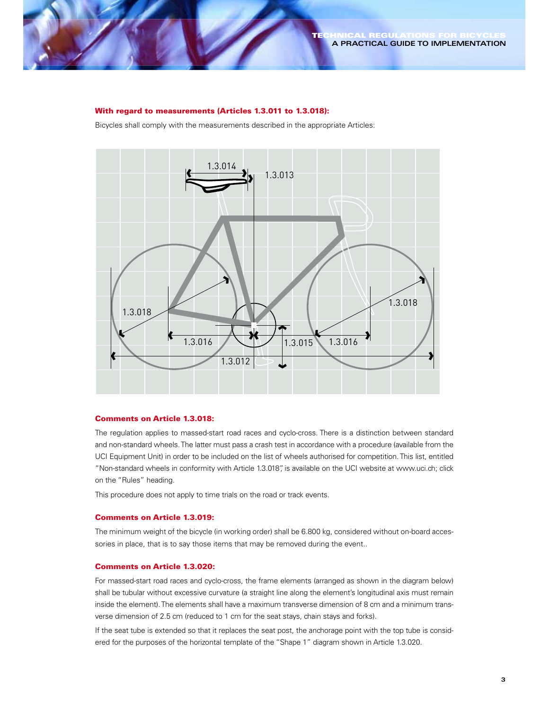#### **With regard to measurements (Articles 1.3.011 to 1.3.018):**

Bicycles shall comply with the measurements described in the appropriate Articles:



### **Comments on Article 1.3.018:**

The regulation applies to massed-start road races and cyclo-cross. There is a distinction between standard and non-standard wheels. The latter must pass a crash test in accordance with a procedure (available from the UCI Equipment Unit) in order to be included on the list of wheels authorised for competition. This list, entitled "Non-standard wheels in conformity with Article 1.3.018", is available on the UCI website at www.uci.ch; click on the "Rules" heading.

This procedure does not apply to time trials on the road or track events.

## **Comments on Article 1.3.019:**

The minimum weight of the bicycle (in working order) shall be 6.800 kg, considered without on-board accessories in place, that is to say those items that may be removed during the event..

# **Comments on Article 1.3.020:**

For massed-start road races and cyclo-cross, the frame elements (arranged as shown in the diagram below) shall be tubular without excessive curvature (a straight line along the element's longitudinal axis must remain inside the element). The elements shall have a maximum transverse dimension of 8 cm and a minimum transverse dimension of 2.5 cm (reduced to 1 cm for the seat stays, chain stays and forks).

If the seat tube is extended so that it replaces the seat post, the anchorage point with the top tube is considered for the purposes of the horizontal template of the "Shape 1" diagram shown in Article 1.3.020.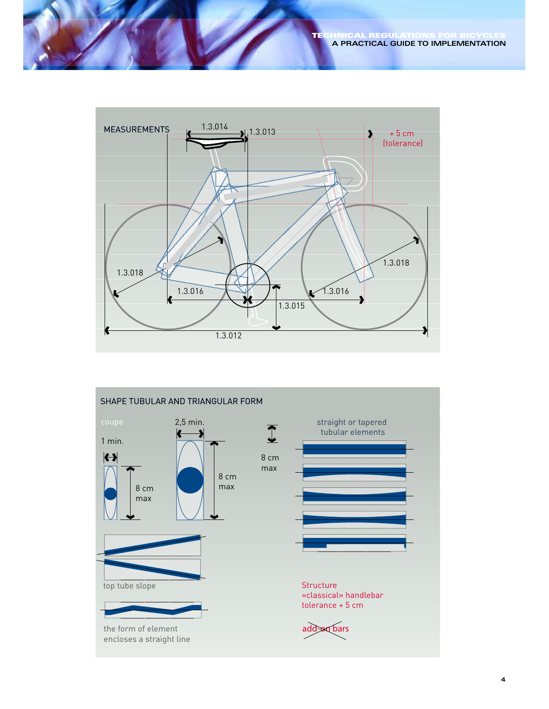

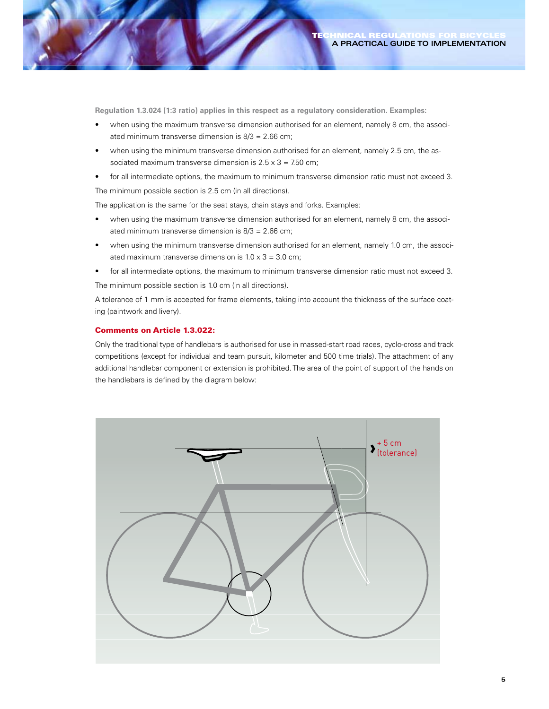**Regulation 1.3.024 (1:3 ratio) applies in this respect as a regulatory consideration. Examples:**

- when using the maximum transverse dimension authorised for an element, namely 8 cm, the associated minimum transverse dimension is 8/3 = 2.66 cm;
- when using the minimum transverse dimension authorised for an element, namely 2.5 cm, the associated maximum transverse dimension is  $2.5 \times 3 = 7.50$  cm;
- for all intermediate options, the maximum to minimum transverse dimension ratio must not exceed 3.

The minimum possible section is 2.5 cm (in all directions).

The application is the same for the seat stays, chain stays and forks. Examples:

- when using the maximum transverse dimension authorised for an element, namely 8 cm, the associated minimum transverse dimension is 8/3 = 2.66 cm;
- when using the minimum transverse dimension authorised for an element, namely 1.0 cm, the associated maximum transverse dimension is  $1.0 \times 3 = 3.0$  cm;
- for all intermediate options, the maximum to minimum transverse dimension ratio must not exceed 3. The minimum possible section is 1.0 cm (in all directions).

A tolerance of 1 mm is accepted for frame elements, taking into account the thickness of the surface coating (paintwork and livery).

## **Comments on Article 1.3.022:**

Only the traditional type of handlebars is authorised for use in massed-start road races, cyclo-cross and track competitions (except for individual and team pursuit, kilometer and 500 time trials). The attachment of any additional handlebar component or extension is prohibited. The area of the point of support of the hands on the handlebars is defined by the diagram below:

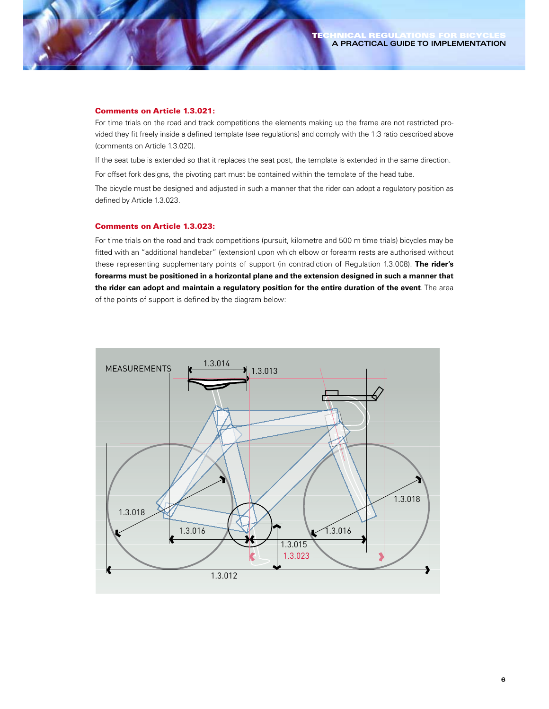#### **Comments on Article 1.3.021:**

For time trials on the road and track competitions the elements making up the frame are not restricted provided they fit freely inside a defined template (see regulations) and comply with the 1:3 ratio described above (comments on Article 1.3.020).

If the seat tube is extended so that it replaces the seat post, the template is extended in the same direction.

For offset fork designs, the pivoting part must be contained within the template of the head tube.

The bicycle must be designed and adjusted in such a manner that the rider can adopt a regulatory position as defined by Article 1.3.023.

#### **Comments on Article 1.3.023:**

For time trials on the road and track competitions (pursuit, kilometre and 500 m time trials) bicycles may be fitted with an "additional handlebar" (extension) upon which elbow or forearm rests are authorised without these representing supplementary points of support (in contradiction of Regulation 1.3.008). **The rider's forearms must be positioned in a horizontal plane and the extension designed in such a manner that the rider can adopt and maintain a regulatory position for the entire duration of the event**. The area of the points of support is defined by the diagram below:

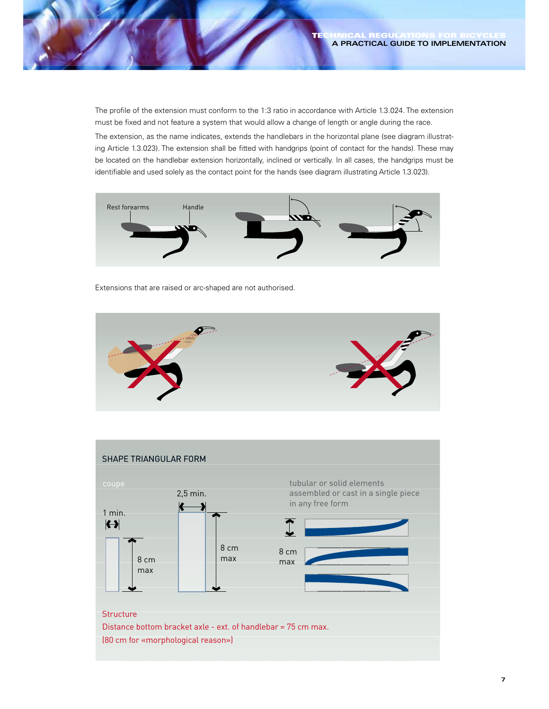The profile of the extension must conform to the 1:3 ratio in accordance with Article 1.3.024. The extension must be fixed and not feature a system that would allow a change of length or angle during the race.

The extension, as the name indicates, extends the handlebars in the horizontal plane (see diagram illustrating Article 1.3.023). The extension shall be fitted with handgrips (point of contact for the hands). These may be located on the handlebar extension horizontally, inclined or vertically. In all cases, the handgrips must be identifiable and used solely as the contact point for the hands (see diagram illustrating Article 1.3.023).



Extensions that are raised or arc-shaped are not authorised.



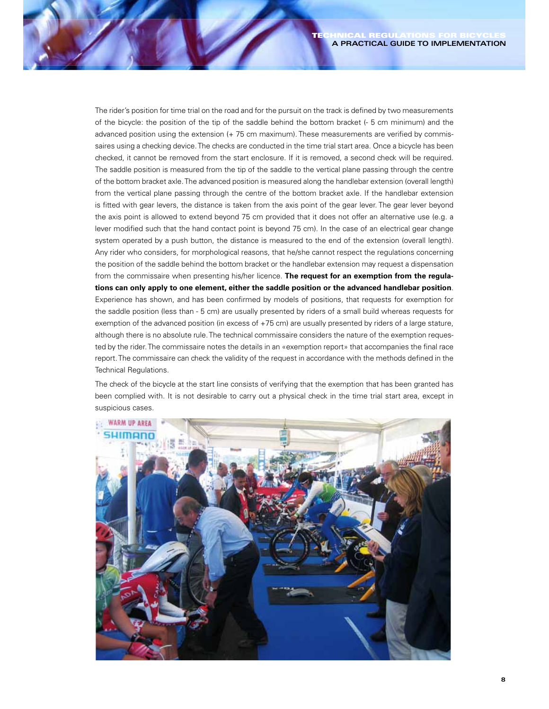The rider's position for time trial on the road and for the pursuit on the track is defined by two measurements of the bicycle: the position of the tip of the saddle behind the bottom bracket (- 5 cm minimum) and the advanced position using the extension (+ 75 cm maximum). These measurements are verified by commissaires using a checking device. The checks are conducted in the time trial start area. Once a bicycle has been checked, it cannot be removed from the start enclosure. If it is removed, a second check will be required. The saddle position is measured from the tip of the saddle to the vertical plane passing through the centre of the bottom bracket axle. The advanced position is measured along the handlebar extension (overall length) from the vertical plane passing through the centre of the bottom bracket axle. If the handlebar extension is fitted with gear levers, the distance is taken from the axis point of the gear lever. The gear lever beyond the axis point is allowed to extend beyond 75 cm provided that it does not offer an alternative use (e.g. a lever modified such that the hand contact point is beyond 75 cm). In the case of an electrical gear change system operated by a push button, the distance is measured to the end of the extension (overall length). Any rider who considers, for morphological reasons, that he/she cannot respect the regulations concerning the position of the saddle behind the bottom bracket or the handlebar extension may request a dispensation from the commissaire when presenting his/her licence. **The request for an exemption from the regulations can only apply to one element, either the saddle position or the advanced handlebar position**. Experience has shown, and has been confirmed by models of positions, that requests for exemption for the saddle position (less than - 5 cm) are usually presented by riders of a small build whereas requests for exemption of the advanced position (in excess of +75 cm) are usually presented by riders of a large stature, although there is no absolute rule. The technical commissaire considers the nature of the exemption requested by the rider. The commissaire notes the details in an «exemption report» that accompanies the final race report. The commissaire can check the validity of the request in accordance with the methods defined in the Technical Regulations.

The check of the bicycle at the start line consists of verifying that the exemption that has been granted has been complied with. It is not desirable to carry out a physical check in the time trial start area, except in suspicious cases.

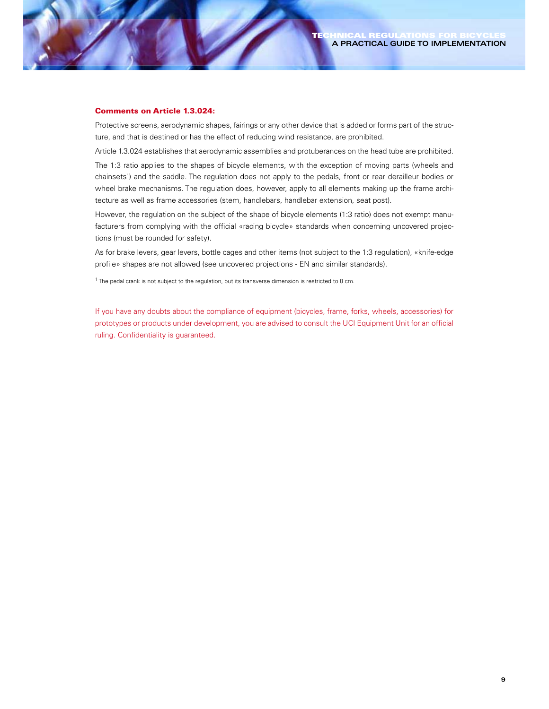#### **Comments on Article 1.3.024:**

Protective screens, aerodynamic shapes, fairings or any other device that is added or forms part of the structure, and that is destined or has the effect of reducing wind resistance, are prohibited.

Article 1.3.024 establishes that aerodynamic assemblies and protuberances on the head tube are prohibited.

The 1:3 ratio applies to the shapes of bicycle elements, with the exception of moving parts (wheels and chainsets<sup>1</sup>) and the saddle. The regulation does not apply to the pedals, front or rear derailleur bodies or wheel brake mechanisms. The regulation does, however, apply to all elements making up the frame architecture as well as frame accessories (stem, handlebars, handlebar extension, seat post).

However, the regulation on the subject of the shape of bicycle elements (1:3 ratio) does not exempt manufacturers from complying with the official «racing bicycle» standards when concerning uncovered projections (must be rounded for safety).

As for brake levers, gear levers, bottle cages and other items (not subject to the 1:3 regulation), «knife-edge profile» shapes are not allowed (see uncovered projections - EN and similar standards).

 $1$  The pedal crank is not subject to the regulation, but its transverse dimension is restricted to 8 cm.

If you have any doubts about the compliance of equipment (bicycles, frame, forks, wheels, accessories) for prototypes or products under development, you are advised to consult the UCI Equipment Unit for an official ruling. Confidentiality is guaranteed.